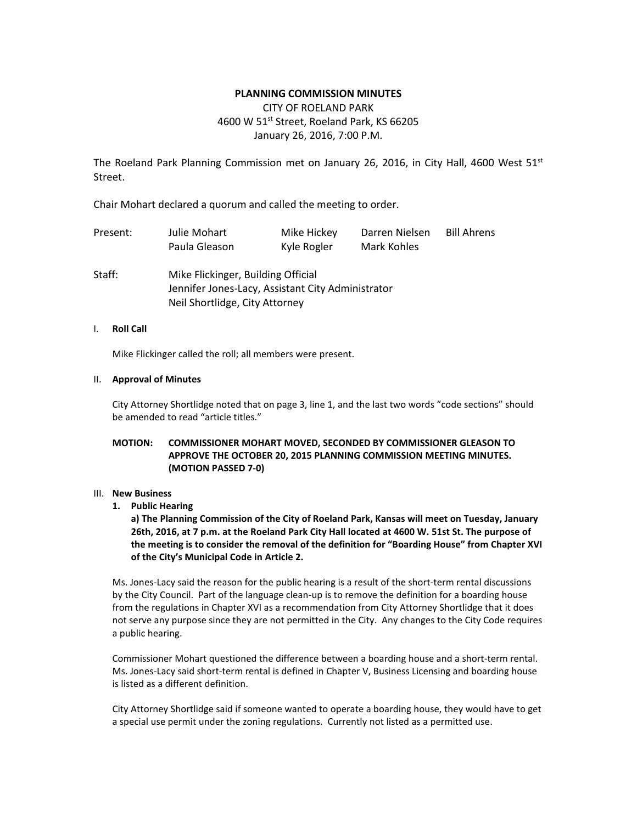### **PLANNING COMMISSION MINUTES**

# CITY OF ROELAND PARK 4600 W 51<sup>st</sup> Street, Roeland Park, KS 66205 January 26, 2016, 7:00 P.M.

The Roeland Park Planning Commission met on January 26, 2016, in City Hall, 4600 West  $51^{st}$ Street.

Chair Mohart declared a quorum and called the meeting to order.

| Present: | Julie Mohart  | Mike Hickey | Darren Nielsen | <b>Bill Ahrens</b> |
|----------|---------------|-------------|----------------|--------------------|
|          | Paula Gleason | Kyle Rogler | Mark Kohles    |                    |

Staff: Mike Flickinger, Building Official Jennifer Jones-Lacy, Assistant City Administrator Neil Shortlidge, City Attorney

### I. **Roll Call**

Mike Flickinger called the roll; all members were present.

### II. **Approval of Minutes**

City Attorney Shortlidge noted that on page 3, line 1, and the last two words "code sections" should be amended to read "article titles."

## **MOTION: COMMISSIONER MOHART MOVED, SECONDED BY COMMISSIONER GLEASON TO APPROVE THE OCTOBER 20, 2015 PLANNING COMMISSION MEETING MINUTES. (MOTION PASSED 7-0)**

#### III. **New Business**

**1. Public Hearing**

**a) The Planning Commission of the City of Roeland Park, Kansas will meet on Tuesday, January 26th, 2016, at 7 p.m. at the Roeland Park City Hall located at 4600 W. 51st St. The purpose of the meeting is to consider the removal of the definition for "Boarding House" from Chapter XVI of the City's Municipal Code in Article 2.**

Ms. Jones-Lacy said the reason for the public hearing is a result of the short-term rental discussions by the City Council. Part of the language clean-up is to remove the definition for a boarding house from the regulations in Chapter XVI as a recommendation from City Attorney Shortlidge that it does not serve any purpose since they are not permitted in the City. Any changes to the City Code requires a public hearing.

Commissioner Mohart questioned the difference between a boarding house and a short-term rental. Ms. Jones-Lacy said short-term rental is defined in Chapter V, Business Licensing and boarding house is listed as a different definition.

City Attorney Shortlidge said if someone wanted to operate a boarding house, they would have to get a special use permit under the zoning regulations. Currently not listed as a permitted use.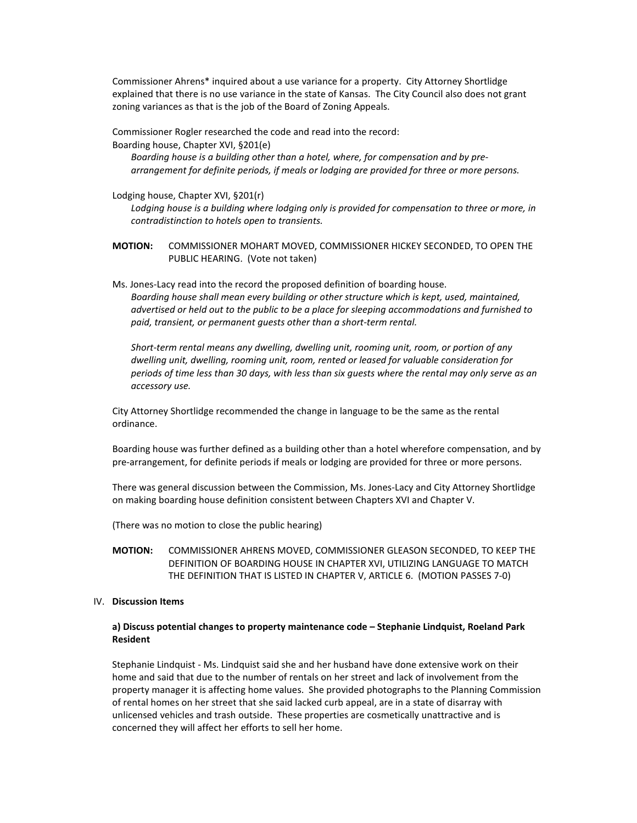Commissioner Ahrens\* inquired about a use variance for a property. City Attorney Shortlidge explained that there is no use variance in the state of Kansas. The City Council also does not grant zoning variances as that is the job of the Board of Zoning Appeals.

Commissioner Rogler researched the code and read into the record:

Boarding house, Chapter XVI, §201(e)

*Boarding house is a building other than a hotel, where, for compensation and by prearrangement for definite periods, if meals or lodging are provided for three or more persons.* 

Lodging house, Chapter XVI, §201(r)

*Lodging house is a building where lodging only is provided for compensation to three or more, in contradistinction to hotels open to transients.*

**MOTION:** COMMISSIONER MOHART MOVED, COMMISSIONER HICKEY SECONDED, TO OPEN THE PUBLIC HEARING. (Vote not taken)

Ms. Jones-Lacy read into the record the proposed definition of boarding house. *Boarding house shall mean every building or other structure which is kept, used, maintained, advertised or held out to the public to be a place for sleeping accommodations and furnished to paid, transient, or permanent guests other than a short-term rental.* 

*Short-term rental means any dwelling, dwelling unit, rooming unit, room, or portion of any dwelling unit, dwelling, rooming unit, room, rented or leased for valuable consideration for periods of time less than 30 days, with less than six guests where the rental may only serve as an accessory use.* 

City Attorney Shortlidge recommended the change in language to be the same as the rental ordinance.

Boarding house was further defined as a building other than a hotel wherefore compensation, and by pre-arrangement, for definite periods if meals or lodging are provided for three or more persons.

There was general discussion between the Commission, Ms. Jones-Lacy and City Attorney Shortlidge on making boarding house definition consistent between Chapters XVI and Chapter V.

(There was no motion to close the public hearing)

**MOTION:** COMMISSIONER AHRENS MOVED, COMMISSIONER GLEASON SECONDED, TO KEEP THE DEFINITION OF BOARDING HOUSE IN CHAPTER XVI, UTILIZING LANGUAGE TO MATCH THE DEFINITION THAT IS LISTED IN CHAPTER V, ARTICLE 6. (MOTION PASSES 7-0)

#### IV. **Discussion Items**

### **a) Discuss potential changes to property maintenance code – Stephanie Lindquist, Roeland Park Resident**

Stephanie Lindquist - Ms. Lindquist said she and her husband have done extensive work on their home and said that due to the number of rentals on her street and lack of involvement from the property manager it is affecting home values. She provided photographs to the Planning Commission of rental homes on her street that she said lacked curb appeal, are in a state of disarray with unlicensed vehicles and trash outside. These properties are cosmetically unattractive and is concerned they will affect her efforts to sell her home.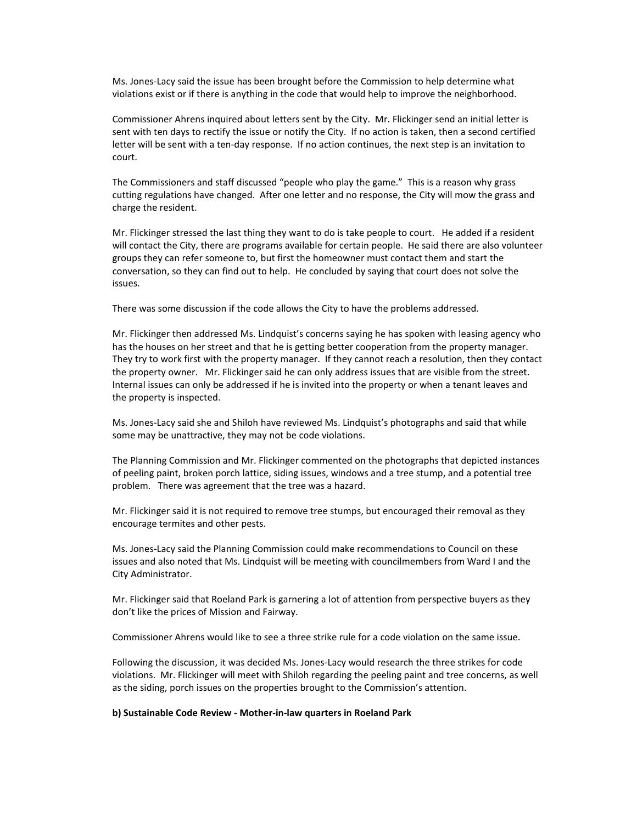Ms. Jones-Lacy said the issue has been brought before the Commission to help determine what violations exist or if there is anything in the code that would help to improve the neighborhood.

Commissioner Ahrens inquired about letters sent by the City. Mr. Flickinger send an initial letter is sent with ten days to rectify the issue or notify the City. If no action is taken, then a second certified letter will be sent with a ten-day response. If no action continues, the next step is an invitation to court.

The Commissioners and staff discussed "people who play the game." This is a reason why grass cutting regulations have changed. After one letter and no response, the City will mow the grass and charge the resident.

Mr. Flickinger stressed the last thing they want to do is take people to court. He added if a resident will contact the City, there are programs available for certain people. He said there are also volunteer groups they can refer someone to, but first the homeowner must contact them and start the conversation, so they can find out to help. He concluded by saying that court does not solve the issues.

There was some discussion if the code allows the City to have the problems addressed.

Mr. Flickinger then addressed Ms. Lindquist's concerns saying he has spoken with leasing agency who has the houses on her street and that he is getting better cooperation from the property manager. They try to work first with the property manager. If they cannot reach a resolution, then they contact the property owner. Mr. Flickinger said he can only address issues that are visible from the street. Internal issues can only be addressed if he is invited into the property or when a tenant leaves and the property is inspected.

Ms. Jones-Lacy said she and Shiloh have reviewed Ms. Lindquist's photographs and said that while some may be unattractive, they may not be code violations.

The Planning Commission and Mr. Flickinger commented on the photographs that depicted instances of peeling paint, broken porch lattice, siding issues, windows and a tree stump, and a potential tree problem. There was agreement that the tree was a hazard.

Mr. Flickinger said it is not required to remove tree stumps, but encouraged their removal as they encourage termites and other pests.

Ms. Jones-Lacy said the Planning Commission could make recommendations to Council on these issues and also noted that Ms. Lindquist will be meeting with councilmembers from Ward I and the City Administrator.

Mr. Flickinger said that Roeland Park is garnering a lot of attention from perspective buyers as they don't like the prices of Mission and Fairway.

Commissioner Ahrens would like to see a three strike rule for a code violation on the same issue.

Following the discussion, it was decided Ms. Jones-Lacy would research the three strikes for code violations. Mr. Flickinger will meet with Shiloh regarding the peeling paint and tree concerns, as well as the siding, porch issues on the properties brought to the Commission's attention.

#### **b) Sustainable Code Review - Mother-in-law quarters in Roeland Park**